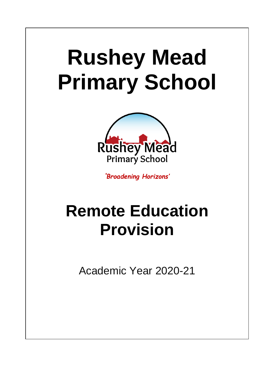# **Rushey Mead Primary School**



*'Broadening Horizons'*

# **Remote Education Provision**

Academic Year 2020-21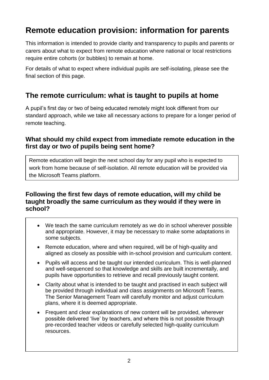# **Remote education provision: information for parents**

This information is intended to provide clarity and transparency to pupils and parents or carers about what to expect from remote education where national or local restrictions require entire cohorts (or bubbles) to remain at home.

For details of what to expect where individual pupils are self-isolating, please see the final section of this page.

# **The remote curriculum: what is taught to pupils at home**

A pupil's first day or two of being educated remotely might look different from our standard approach, while we take all necessary actions to prepare for a longer period of remote teaching.

#### **What should my child expect from immediate remote education in the first day or two of pupils being sent home?**

Remote education will begin the next school day for any pupil who is expected to work from home because of self-isolation. All remote education will be provided via the Microsoft Teams platform.

#### **Following the first few days of remote education, will my child be taught broadly the same curriculum as they would if they were in school?**

- We teach the same curriculum remotely as we do in school wherever possible and appropriate. However, it may be necessary to make some adaptations in some subjects.
- Remote education, where and when required, will be of high-quality and aligned as closely as possible with in-school provision and curriculum content.
- Pupils will access and be taught our intended curriculum. This is well-planned and well-sequenced so that knowledge and skills are built incrementally, and pupils have opportunities to retrieve and recall previously taught content.
- Clarity about what is intended to be taught and practised in each subject will be provided through individual and class assignments on Microsoft Teams. The Senior Management Team will carefully monitor and adjust curriculum plans, where it is deemed appropriate.
- Frequent and clear explanations of new content will be provided, wherever possible delivered 'live' by teachers, and where this is not possible through pre-recorded teacher videos or carefully selected high-quality curriculum resources.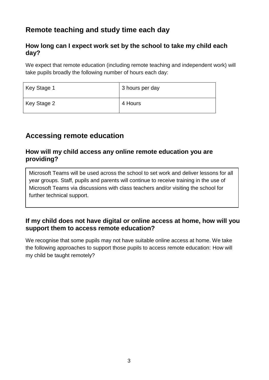# **Remote teaching and study time each day**

#### **How long can I expect work set by the school to take my child each day?**

We expect that remote education (including remote teaching and independent work) will take pupils broadly the following number of hours each day:

| Key Stage 1 | 3 hours per day |
|-------------|-----------------|
| Key Stage 2 | 4 Hours         |

# **Accessing remote education**

#### **How will my child access any online remote education you are providing?**

Microsoft Teams will be used across the school to set work and deliver lessons for all year groups. Staff, pupils and parents will continue to receive training in the use of Microsoft Teams via discussions with class teachers and/or visiting the school for further technical support.

#### **If my child does not have digital or online access at home, how will you support them to access remote education?**

We recognise that some pupils may not have suitable online access at home. We take the following approaches to support those pupils to access remote education: How will my child be taught remotely?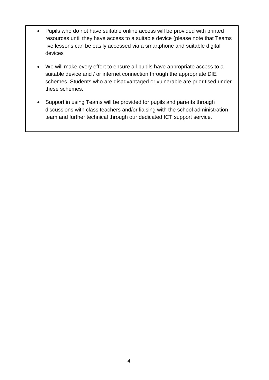- Pupils who do not have suitable online access will be provided with printed resources until they have access to a suitable device (please note that Teams live lessons can be easily accessed via a smartphone and suitable digital devices
- We will make every effort to ensure all pupils have appropriate access to a suitable device and / or internet connection through the appropriate DfE schemes. Students who are disadvantaged or vulnerable are prioritised under these schemes.
- Support in using Teams will be provided for pupils and parents through discussions with class teachers and/or liaising with the school administration team and further technical through our dedicated ICT support service.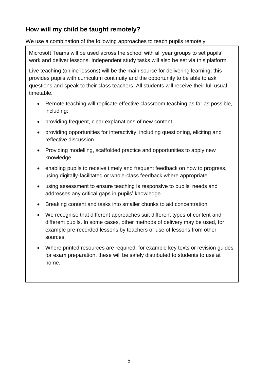### **How will my child be taught remotely?**

We use a combination of the following approaches to teach pupils remotely:

Microsoft Teams will be used across the school with all year groups to set pupils' work and deliver lessons. Independent study tasks will also be set via this platform.

Live teaching (online lessons) will be the main source for delivering learning; this provides pupils with curriculum continuity and the opportunity to be able to ask questions and speak to their class teachers. All students will receive their full usual timetable.

- Remote teaching will replicate effective classroom teaching as far as possible, including:
- providing frequent, clear explanations of new content
- providing opportunities for interactivity, including questioning, eliciting and reflective discussion
- Providing modelling, scaffolded practice and opportunities to apply new knowledge
- enabling pupils to receive timely and frequent feedback on how to progress, using digitally-facilitated or whole-class feedback where appropriate
- using assessment to ensure teaching is responsive to pupils' needs and addresses any critical gaps in pupils' knowledge
- Breaking content and tasks into smaller chunks to aid concentration
- We recognise that different approaches suit different types of content and different pupils. In some cases, other methods of delivery may be used, for example pre-recorded lessons by teachers or use of lessons from other sources.
- Where printed resources are required, for example key texts or revision guides for exam preparation, these will be safely distributed to students to use at home.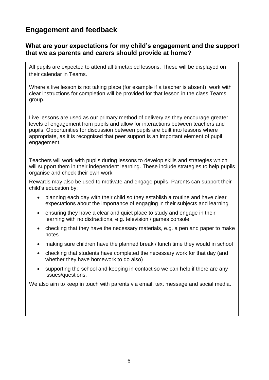# **Engagement and feedback**

#### **What are your expectations for my child's engagement and the support that we as parents and carers should provide at home?**

All pupils are expected to attend all timetabled lessons. These will be displayed on their calendar in Teams.

Where a live lesson is not taking place (for example if a teacher is absent), work with clear instructions for completion will be provided for that lesson in the class Teams group.

Live lessons are used as our primary method of delivery as they encourage greater levels of engagement from pupils and allow for interactions between teachers and pupils. Opportunities for discussion between pupils are built into lessons where appropriate, as it is recognised that peer support is an important element of pupil engagement.

Teachers will work with pupils during lessons to develop skills and strategies which will support them in their independent learning. These include strategies to help pupils organise and check their own work.

Rewards may also be used to motivate and engage pupils. Parents can support their child's education by:

- planning each day with their child so they establish a routine and have clear expectations about the importance of engaging in their subjects and learning
- ensuring they have a clear and quiet place to study and engage in their learning with no distractions, e.g. television / games console
- checking that they have the necessary materials, e.g. a pen and paper to make notes
- making sure children have the planned break / lunch time they would in school
- checking that students have completed the necessary work for that day (and whether they have homework to do also)
- supporting the school and keeping in contact so we can help if there are any issues/questions.

We also aim to keep in touch with parents via email, text message and social media.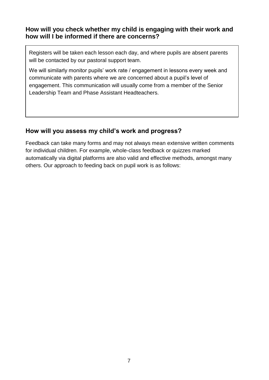#### **How will you check whether my child is engaging with their work and how will I be informed if there are concerns?**

Registers will be taken each lesson each day, and where pupils are absent parents will be contacted by our pastoral support team.

We will similarly monitor pupils' work rate / engagement in lessons every week and communicate with parents where we are concerned about a pupil's level of engagement. This communication will usually come from a member of the Senior Leadership Team and Phase Assistant Headteachers.

#### **How will you assess my child's work and progress?**

Feedback can take many forms and may not always mean extensive written comments for individual children. For example, whole-class feedback or quizzes marked automatically via digital platforms are also valid and effective methods, amongst many others. Our approach to feeding back on pupil work is as follows: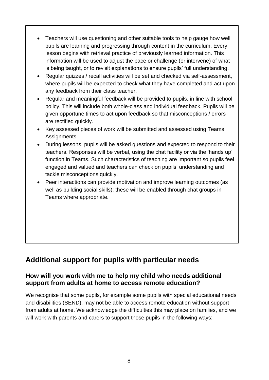- Teachers will use questioning and other suitable tools to help gauge how well pupils are learning and progressing through content in the curriculum. Every lesson begins with retrieval practice of previously learned information. This information will be used to adjust the pace or challenge (or intervene) of what is being taught, or to revisit explanations to ensure pupils' full understanding.
- Regular quizzes / recall activities will be set and checked via self-assessment, where pupils will be expected to check what they have completed and act upon any feedback from their class teacher.
- Regular and meaningful feedback will be provided to pupils, in line with school policy. This will include both whole-class and individual feedback. Pupils will be given opportune times to act upon feedback so that misconceptions / errors are rectified quickly.
- Key assessed pieces of work will be submitted and assessed using Teams Assignments.
- During lessons, pupils will be asked questions and expected to respond to their teachers. Responses will be verbal, using the chat facility or via the 'hands up' function in Teams. Such characteristics of teaching are important so pupils feel engaged and valued and teachers can check on pupils' understanding and tackle misconceptions quickly.
- Peer interactions can provide motivation and improve learning outcomes (as well as building social skills): these will be enabled through chat groups in Teams where appropriate.

# **Additional support for pupils with particular needs**

#### **How will you work with me to help my child who needs additional support from adults at home to access remote education?**

We recognise that some pupils, for example some pupils with special educational needs and disabilities (SEND), may not be able to access remote education without support from adults at home. We acknowledge the difficulties this may place on families, and we will work with parents and carers to support those pupils in the following ways: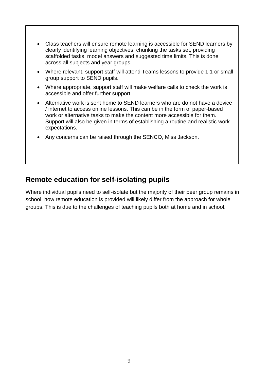- Class teachers will ensure remote learning is accessible for SEND learners by clearly identifying learning objectives, chunking the tasks set, providing scaffolded tasks, model answers and suggested time limits. This is done across all subjects and year groups.
- Where relevant, support staff will attend Teams lessons to provide 1:1 or small group support to SEND pupils.
- Where appropriate, support staff will make welfare calls to check the work is accessible and offer further support.
- Alternative work is sent home to SEND learners who are do not have a device / internet to access online lessons. This can be in the form of paper-based work or alternative tasks to make the content more accessible for them. Support will also be given in terms of establishing a routine and realistic work expectations.
- Any concerns can be raised through the SENCO, Miss Jackson.

## **Remote education for self-isolating pupils**

Where individual pupils need to self-isolate but the majority of their peer group remains in school, how remote education is provided will likely differ from the approach for whole groups. This is due to the challenges of teaching pupils both at home and in school.